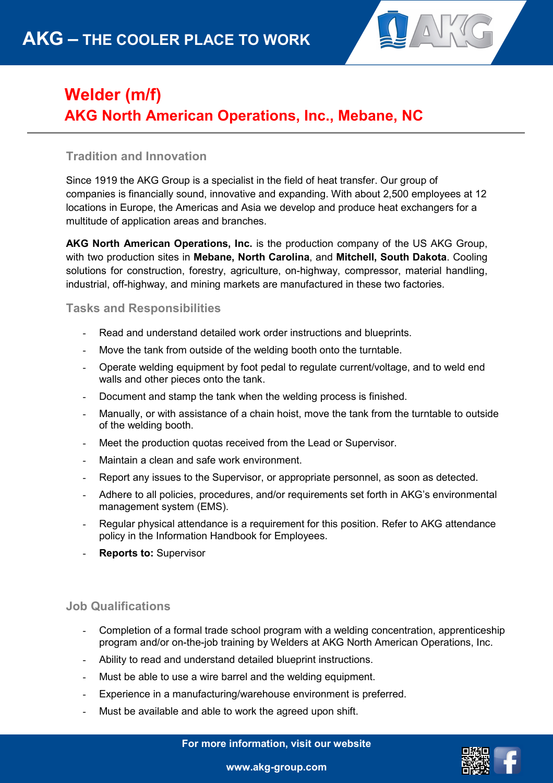

## **Welder (m/f) AKG North American Operations, Inc., Mebane, NC**

## **Tradition and Innovation**

Since 1919 the AKG Group is a specialist in the field of heat transfer. Our group of companies is financially sound, innovative and expanding. With about 2,500 employees at 12 locations in Europe, the Americas and Asia we develop and produce heat exchangers for a multitude of application areas and branches.

**AKG North American Operations, Inc.** is the production company of the US AKG Group, with two production sites in **Mebane, North Carolina**, and **Mitchell, South Dakota**. Cooling solutions for construction, forestry, agriculture, on-highway, compressor, material handling, industrial, off-highway, and mining markets are manufactured in these two factories.

**Tasks and Responsibilities** 

- Read and understand detailed work order instructions and blueprints.
- Move the tank from outside of the welding booth onto the turntable.
- Operate welding equipment by foot pedal to regulate current/voltage, and to weld end walls and other pieces onto the tank.
- Document and stamp the tank when the welding process is finished.
- Manually, or with assistance of a chain hoist, move the tank from the turntable to outside of the welding booth.
- Meet the production quotas received from the Lead or Supervisor.
- Maintain a clean and safe work environment.
- Report any issues to the Supervisor, or appropriate personnel, as soon as detected.
- Adhere to all policies, procedures, and/or requirements set forth in AKG's environmental management system (EMS).
- Regular physical attendance is a requirement for this position. Refer to AKG attendance policy in the Information Handbook for Employees.
- **Reports to: Supervisor**

## **Job Qualifications**

- Completion of a formal trade school program with a welding concentration, apprenticeship program and/or on-the-job training by Welders at AKG North American Operations, Inc.
- Ability to read and understand detailed blueprint instructions.
- Must be able to use a wire barrel and the welding equipment.
- Experience in a manufacturing/warehouse environment is preferred.
- Must be available and able to work the agreed upon shift.

**For more information, visit our website**



**www.akg-group.com**